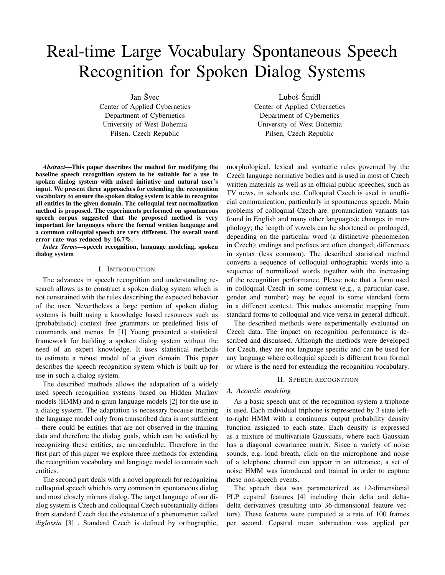# Real-time Large Vocabulary Spontaneous Speech Recognition for Spoken Dialog Systems

Jan Švec Center of Applied Cybernetics

Department of Cybernetics University of West Bohemia Pilsen, Czech Republic

*Abstract*—This paper describes the method for modifying the baseline speech recognition system to be suitable for a use in spoken dialog system with mixed initiative and natural user's input. We present three approaches for extending the recognition vocabulary to ensure the spoken dialog system is able to recognize all entities in the given domain. The colloquial text normalization method is proposed. The experiments performed on spontaneous speech corpus suggested that the proposed method is very important for languages where the formal written language and a common colloquial speech are very different. The overall word error rate was reduced by 16.7%.

*Index Terms*—speech recognition, language modeling, spoken dialog system

# I. INTRODUCTION

The advances in speech recognition and understanding research allows us to construct a spoken dialog system which is not constrained with the rules describing the expected behavior of the user. Nevertheless a large portion of spoken dialog systems is built using a knowledge based resources such as (probabilistic) context free grammars or predefined lists of commands and menus. In [1] Young presented a statistical framework for building a spoken dialog system without the need of an expert knowledge. It uses statistical methods to estimate a robust model of a given domain. This paper describes the speech recognition system which is built up for use in such a dialog system.

The described methods allows the adaptation of a widely used speech recognition systems based on Hidden Markov models (HMM) and n-gram language models [2] for the use in a dialog system. The adaptation is necessary because training the language model only from transcribed data is not sufficient – there could be entities that are not observed in the training data and therefore the dialog goals, which can be satisfied by recognizing these entities, are unreachable. Therefore in the first part of this paper we explore three methods for extending the recognition vocabulary and language model to contain such entities.

The second part deals with a novel approach for recognizing colloquial speech which is very common in spontaneous dialog and most closely mirrors dialog. The target language of our dialog system is Czech and colloquial Czech substantially differs from standard Czech due the existence of a phenomenon called *diglossia* [3] . Standard Czech is defined by orthographic,

Luboš Šmídl Center of Applied Cybernetics Department of Cybernetics

University of West Bohemia Pilsen, Czech Republic

morphological, lexical and syntactic rules governed by the Czech language normative bodies and is used in most of Czech written materials as well as in official public speeches, such as TV news, in schools etc. Colloquial Czech is used in unofficial communication, particularly in spontaneous speech. Main problems of colloquial Czech are: pronunciation variants (as found in English and many other languages); changes in morphology; the length of vowels can be shortened or prolonged, depending on the particular word (a distinctive phenomenon in Czech); endings and prefixes are often changed; differences in syntax (less common). The described statistical method converts a sequence of colloquial orthographic words into a sequence of normalized words together with the increasing of the recognition performance. Please note that a form used in colloquial Czech in some context (e.g., a particular case, gender and number) may be equal to some standard form in a different context. This makes automatic mapping from standard forms to colloquial and vice versa in general difficult.

The described methods were experimentally evaluated on Czech data. The impact on recognition performance is described and discussed. Although the methods were developed for Czech, they are not language specific and can be used for any language where colloquial speech is different from formal or where is the need for extending the recognition vocabulary.

# II. SPEECH RECOGNITION

# *A. Acoustic modeling*

As a basic speech unit of the recognition system a triphone is used. Each individual triphone is represented by 3 state leftto-right HMM with a continuous output probability density function assigned to each state. Each density is expressed as a mixture of multivariate Gaussians, where each Gaussian has a diagonal covariance matrix. Since a variety of noise sounds, e.g. loud breath, click on the microphone and noise of a telephone channel can appear in an utterance, a set of noise HMM was introduced and trained in order to capture these non-speech events.

The speech data was parameterized as 12-dimensional PLP cepstral features [4] including their delta and deltadelta derivatives (resulting into 36-dimensional feature vectors). These features were computed at a rate of 100 frames per second. Cepstral mean subtraction was applied per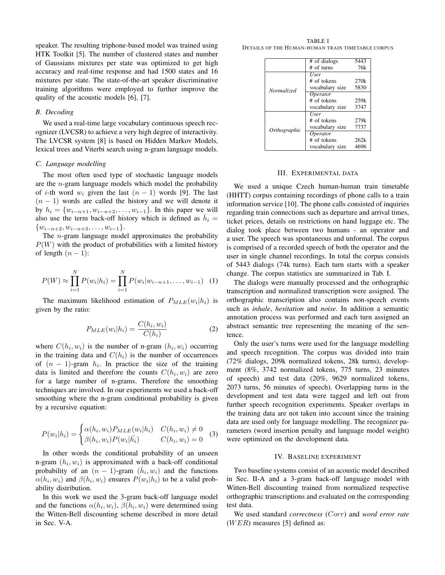speaker. The resulting triphone-based model was trained using HTK Toolkit [5]. The number of clustered states and number of Gaussians mixtures per state was optimized to get high accuracy and real-time response and had 1500 states and 16 mixtures per state. The state-of-the-art speaker discriminative training algorithms were employed to further improve the quality of the acoustic models [6], [7].

#### *B. Decoding*

We used a real-time large vocabulary continuous speech recognizer (LVCSR) to achieve a very high degree of interactivity. The LVCSR system [8] is based on Hidden Markov Models, lexical trees and Viterbi search using n-gram language models.

#### *C. Language modelling*

The most often used type of stochastic language models are the  $n$ -gram language models which model the probability of *i*-th word  $w_i$  given the last  $(n - 1)$  words [9]. The last  $(n - 1)$  words are called the history and we will denote it by  $h_i = \{w_{i-n+1}, w_{i-n+2}, \ldots, w_{i-1}\}.$  In this paper we will also use the term back-off history which is defined as  $\bar{h}_i =$  $\{w_{i-n+2}, w_{i-n+3}, \ldots, w_{i-1}\}.$ 

The  $n$ -gram language model approximates the probability  $P(W)$  with the product of probabilities with a limited history of length  $(n - 1)$ :

$$
P(W) \approx \prod_{i=1}^{N} P(w_i | h_i) = \prod_{i=1}^{N} P(w_i | w_{i-n+1}, \dots, w_{i-1}) \quad (1)
$$

The maximum likelihood estimation of  $P_{MLE}(w_i|h_i)$  is given by the ratio:

$$
P_{MLE}(w_i|h_i) = \frac{C(h_i, w_i)}{C(h_i)}\tag{2}
$$

where  $C(h_i, w_i)$  is the number of n-gram  $(h_i, w_i)$  occurring in the training data and  $C(h_i)$  is the number of occurrences of  $(n - 1)$ -gram  $h_i$ . In practice the size of the training data is limited and therefore the counts  $C(h_i, w_i)$  are zero for a large number of n-grams. Therefore the smoothing techniques are involved. In our experiments we used a back-off smoothing where the n-gram conditional probability is given by a recursive equation:

$$
P(w_i|h_i) = \begin{cases} \alpha(h_i, w_i) P_{MLE}(w_i|h_i) & C(h_i, w_i) \neq 0\\ \beta(h_i, w_i) P(w_i|\bar{h_i}) & C(h_i, w_i) = 0 \end{cases}
$$
(3)

In other words the conditional probability of an unseen n-gram  $(h_i, w_i)$  is approximated with a back-off conditional probability of an  $(n-1)$ -gram  $(\bar{h}_i, w_i)$  and the functions  $\alpha(h_i, w_i)$  and  $\beta(h_i, w_i)$  ensures  $P(w_i | h_i)$  to be a valid probability distribution.

In this work we used the 3-gram back-off language model and the functions  $\alpha(h_i, w_i)$ ,  $\beta(h_i, w_i)$  were determined using the Witten-Bell discounting scheme described in more detail in Sec. V-A.

TABLE I DETAILS OF THE HUMAN-HUMAN TRAIN TIMETABLE CORPUS

|                     | # of dialogs    | 5443 |
|---------------------|-----------------|------|
|                     | # of turns      | 76k  |
|                     | User            |      |
| Normalized          | # of tokens     | 270k |
|                     | vocabulary size | 5830 |
|                     | <i>Operator</i> |      |
|                     | # of tokens     | 259k |
|                     | vocabulary size | 3747 |
| <i>Orthographic</i> | <b>User</b>     |      |
|                     | # of tokens     | 279k |
|                     | vocabulary size | 7737 |
|                     | <i>Operator</i> |      |
|                     | # of tokens     | 262k |
|                     | vocabulary size | 4696 |

#### III. EXPERIMENTAL DATA

We used a unique Czech human-human train timetable (HHTT) corpus containing recordings of phone calls to a train information service [10]. The phone calls consisted of inquiries regarding train connections such as departure and arrival times, ticket prices, details on restrictions on hand luggage etc. The dialog took place between two humans - an operator and a user. The speech was spontaneous and unformal. The corpus is comprised of a recorded speech of both the operator and the user in single channel recordings. In total the corpus consists of 5443 dialogs (74k turns). Each turn starts with a speaker change. The corpus statistics are summarized in Tab. I.

The dialogs were manually processed and the orthographic transcription and normalized transcription were assigned. The orthographic transcription also contains non-speech events such as *inhale*, *hesitation* and *noise*. In addition a semantic annotation process was performed and each turn assigned an abstract semantic tree representing the meaning of the sentence.

Only the user's turns were used for the language modelling and speech recognition. The corpus was divided into train (72% dialogs, 209k normalized tokens, 28k turns), development (8%, 3742 normalized tokens, 775 turns, 23 minutes of speech) and test data (20%, 9629 normalized tokens, 2073 turns, 56 minutes of speech). Overlapping turns in the development and test data were tagged and left out from further speech recognition experiments. Speaker overlaps in the training data are not taken into account since the training data are used only for language modelling. The recognizer parameters (word insertion penalty and language model weight) were optimized on the development data.

#### IV. BASELINE EXPERIMENT

Two baseline systems consist of an acoustic model described in Sec. II-A and a 3-gram back-off language model with Witten-Bell discounting trained from normalized respective orthographic transcriptions and evaluated on the corresponding test data.

We used standard *correctness* (Corr) and *word error rate*  $(WER)$  measures [5] defined as: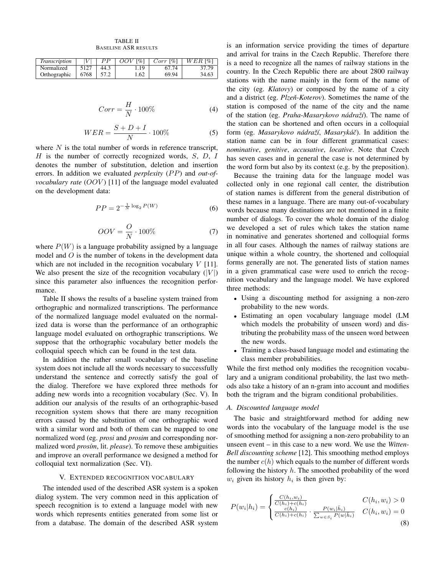TABLE II BASELINE ASR RESULTS

| Transcription |      | РP   | OOV<br>$\lceil \% \rceil$ | Corr<br>$\lceil \% \rceil$ | $WER$ [%] |
|---------------|------|------|---------------------------|----------------------------|-----------|
| Normalized    | 5127 | 44.3 | 19                        | 67.74                      | 37.79     |
| Orthographic  | 6768 |      | .62                       | 69.94                      | 34.63     |

$$
Corr = \frac{H}{N} \cdot 100\% \tag{4}
$$

$$
WER = \frac{S+D+I}{N} \cdot 100\%
$$
 (5)

where  $N$  is the total number of words in reference transcript,  $H$  is the number of correctly recognized words,  $S$ ,  $D$ ,  $I$ denotes the number of substitution, deletion and insertion errors. In addition we evaluated *perplexity* (PP) and *out-ofvocabulary rate* (*OOV*) [11] of the language model evaluated on the development data:

$$
PP = 2^{-\frac{1}{N}\log_2 P(W)}\tag{6}
$$

$$
OOV = \frac{O}{N} \cdot 100\% \tag{7}
$$

where  $P(W)$  is a language probability assigned by a language model and  $O$  is the number of tokens in the development data which are not included in the recognition vocabulary  $V$  [11]. We also present the size of the recognition vocabulary  $(|V|)$ since this parameter also influences the recognition performance.

Table II shows the results of a baseline system trained from orthographic and normalized transcriptions. The performance of the normalized language model evaluated on the normalized data is worse than the performance of an orthographic language model evaluated on orthographic transcriptions. We suppose that the orthographic vocabulary better models the colloquial speech which can be found in the test data.

In addition the rather small vocabulary of the baseline system does not include all the words necessary to successfully understand the sentence and correctly satisfy the goal of the dialog. Therefore we have explored three methods for adding new words into a recognition vocabulary (Sec. V). In addition our analysis of the results of an orthographic-based recognition system shows that there are many recognition errors caused by the substitution of one orthographic word with a similar word and both of them can be mapped to one normalized word (eg. *prosi* and *prosim* and corresponding normalized word *prosim*, lit. *please*). To remove these ambiguities and improve an overall performance we designed a method for colloquial text normalization (Sec. VI).

#### V. EXTENDED RECOGNITION VOCABULARY

The intended used of the described ASR system is a spoken dialog system. The very common need in this application of speech recognition is to extend a language model with new words which represents entities generated from some list or from a database. The domain of the described ASR system

is an information service providing the times of departure and arrival for trains in the Czech Republic. Therefore there is a need to recognize all the names of railway stations in the country. In the Czech Republic there are about 2800 railway stations with the name mainly in the form of the name of the city (eg. *Klatovy*) or composed by the name of a city and a district (eg. *Plzeň-Koterov*). Sometimes the name of the station is composed of the name of the city and the name of the station (eg. *Praha-Masarykovo nádraží*). The name of the station can be shortened and often occurs in a colloquial form (eg. Masarykovo nádraží, Masarykáč). In addition the station name can be in four different grammatical cases: *nominative*, *genitive*, *accusative*, *locative*. Note that Czech has seven cases and in general the case is not determined by the word form but also by its context (e.g. by the preposition).

Because the training data for the language model was collected only in one regional call center, the distribution of station names is different from the general distribution of these names in a language. There are many out-of-vocabulary words because many destinations are not mentioned in a finite number of dialogs. To cover the whole domain of the dialog we developed a set of rules which takes the station name in nominative and generates shortened and colloquial forms in all four cases. Although the names of railway stations are unique within a whole country, the shortened and colloquial forms generally are not. The generated lists of station names in a given grammatical case were used to enrich the recognition vocabulary and the language model. We have explored three methods:

- Using a discounting method for assigning a non-zero probability to the new words.
- Estimating an open vocabulary language model (LM which models the probability of unseen word) and distributing the probability mass of the unseen word between the new words.
- Training a class-based language model and estimating the class member probabilities.

While the first method only modifies the recognition vocabulary and a unigram conditional probability, the last two methods also take a history of an n-gram into account and modifies both the trigram and the bigram conditional probabilities.

# *A. Discounted language model*

The basic and straightforward method for adding new words into the vocabulary of the language model is the use of smoothing method for assigning a non-zero probability to an unseen event – in this case to a new word. We use the *Witten-Bell discounting scheme* [12]. This smoothing method employs the number  $c(h)$  which equals to the number of different words following the history  $h$ . The smoothed probability of the word  $w_i$  given its history  $h_i$  is then given by:

$$
P(w_i|h_i) = \begin{cases} \frac{C(h_i, w_i)}{C(h_i) + c(h_i)} & C(h_i, w_i) > 0\\ \frac{c(h_i)}{C(h_i) + c(h_i)} \cdot \frac{P(w_i|\bar{h}_i)}{\sum_{w \in S_i} P(w|\bar{h}_i)} & C(h_i, w_i) = 0 \end{cases}
$$
(8)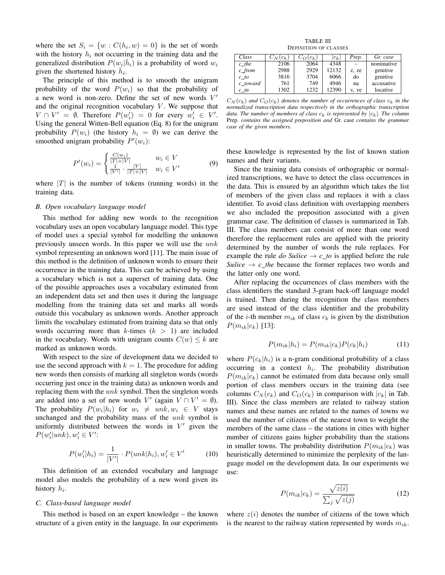where the set  $S_i = \{w : C(h_i, w) = 0\}$  is the set of words with the history  $h_i$  not occurring in the training data and the generalized distribution  $P(w_i | \overline{h}_i)$  is a probability of word  $w_i$ given the shortened history  $\overline{h}_i$ .

The principle of this method is to smooth the unigram probability of the word  $P(w_i)$  so that the probability of a new word is non-zero. Define the set of new words  $V'$ and the original recognition vocabulary  $V$ . We suppose that  $V \cap V' = \emptyset$ . Therefore  $P(w'_i) = 0$  for every  $w'_i \in V'$ . Using the general Witten-Bell equation (Eq. 8) for the unigram probability  $P(w_i)$  (the history  $h_i = \emptyset$ ) we can derive the smoothed unigram probability  $P'(w_i)$ :

$$
P'(w_i) = \begin{cases} \frac{C(w_i)}{|T| + |V|} & w_i \in V \\ \frac{1}{|V'|} \cdot \frac{|V|}{|T| + |V|} & w_i \in V' \end{cases}
$$
(9)

where  $|T|$  is the number of tokens (running words) in the training data.

### *B. Open vocabulary language model*

This method for adding new words to the recognition vocabulary uses an open vocabulary language model. This type of model uses a special symbol for modelling the unknown previously unseen words. In this paper we will use the  $unk$ symbol representing an unknown word [11]. The main issue of this method is the definition of unknown words to ensure their occurrence in the training data. This can be achieved by using a vocabulary which is not a superset of training data. One of the possible approaches uses a vocabulary estimated from an independent data set and then uses it during the language modelling from the training data set and marks all words outside this vocabulary as unknown words. Another approach limits the vocabulary estimated from training data so that only words occurring more than k-times  $(k > 1)$  are included in the vocabulary. Words with unigram counts  $C(w) \leq k$  are marked as unknown words.

With respect to the size of development data we decided to use the second approach with  $k = 1$ . The procedure for adding new words then consists of marking all singleton words (words occurring just once in the training data) as unknown words and replacing them with the  $unk$  symbol. Then the singleton words are added into a set of new words V' (again  $V \cap V' = \emptyset$ ). The probability  $P(w_i|h_i)$  for  $w_i \neq unk, w_i \in V$  stays unchanged and the probability mass of the  $unk$  symbol is uniformly distributed between the words in  $V'$  given the  $P(w'_i|unk), w'_i \in V'$ :

$$
P(w_i'|h_i) = \frac{1}{|V'|} \cdot P(unk|h_i), w_i' \in V'
$$
 (10)

This definition of an extended vocabulary and language model also models the probability of a new word given its history  $h_i$ .

#### *C. Class-based language model*

This method is based on an expert knowledge – the known structure of a given entity in the language. In our experiments

TABLE III DEFINITION OF CLASSES

| Class     | $U_N(c_k)$ | $c_k$ ) | $c_k$ | Prep.                        | Gr. case   |
|-----------|------------|---------|-------|------------------------------|------------|
| c the     | 2106       | 2064    | 4348  | $\qquad \qquad \blacksquare$ | nominative |
| $c\_from$ | 2988       | 2929    | 12132 | z, ze                        | genitive   |
| $c$ to    | 3816       | 3704    | 6066  | do                           | genitive   |
| c toward  | 761        | 749     | 4946  | na                           | accusative |
| $c$ in    | 1302       | 1232    | 12390 | v. ve                        | locative   |

 $C_N(c_k)$  and  $C_O(c_k)$  denotes the number of occurrences of class  $c_k$  in the *normalized transcription data respectively in the orthographic transcription data. The number of members of class*  $c_k$  *is represented by*  $|c_k|$ *. The column* Prep. *contains the assigned preposition and* Gr. case *contains the grammar case of the given members.*

these knowledge is represented by the list of known station names and their variants.

Since the training data consists of orthographic or normalized transcriptions, we have to detect the class occurrences in the data. This is ensured by an algorithm which takes the list of members of the given class and replaces it with a class identifier. To avoid class definition with overlapping members we also included the preposition associated with a given grammar case. The definition of classes is summarized in Tab. III. The class members can consist of more than one word therefore the replacement rules are applied with the priority determined by the number of words the rule replaces. For example the rule *do Sušice*  $\rightarrow c$  *to* is applied before the rule *Sušice*  $\rightarrow$  *c the* because the former replaces two words and the latter only one word.

After replacing the occurrences of class members with the class identifiers the standard 3-gram back-off language model is trained. Then during the recognition the class members are used instead of the class identifier and the probability of the *i*-th member  $m_{ik}$  of class  $c_k$  is given by the distribution  $P(m_{ik}|c_k)$  [13]:

$$
P(m_{ik}|h_i) = P(m_{ik}|c_k)P(c_k|h_i)
$$
\n<sup>(11)</sup>

where  $P(c_k|h_i)$  is a n-gram conditional probability of a class occurring in a context  $h_i$ . The probability distribution  $P(m_{ik}|c_k)$  cannot be estimated from data because only small portion of class members occurs in the training data (see columns  $C_N(c_k)$  and  $C_O(c_k)$  in comparison with  $|c_k|$  in Tab. III). Since the class members are related to railway station names and these names are related to the names of towns we used the number of citizens of the nearest town to weight the members of the same class – the stations in cities with higher number of citizens gains higher probability than the stations in smaller towns. The probability distribution  $P(m_{ik}|c_k)$  was heuristically determined to minimize the perplexity of the language model on the development data. In our experiments we use:

$$
P(m_{ik}|c_k) = \frac{\sqrt{z(i)}}{\sum_j \sqrt{z(j)}}\tag{12}
$$

where  $z(i)$  denotes the number of citizens of the town which is the nearest to the railway station represented by words  $m_{ik}$ .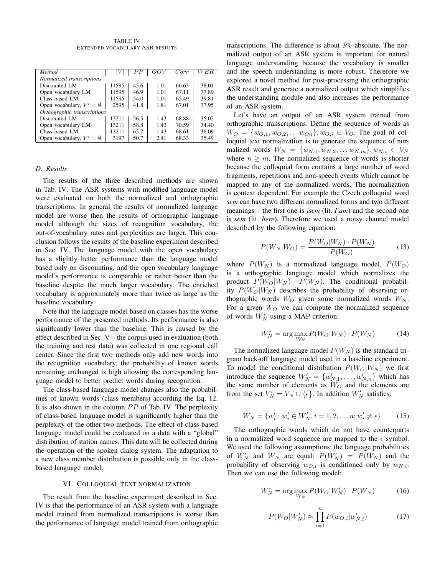TABLE IV EXTENDED VOCABULARY ASR RESULTS

| Method                            | ۰v    | $_{PP}$ | OOV  | Corr  | WER   |  |
|-----------------------------------|-------|---------|------|-------|-------|--|
| Normalized transcriptions         |       |         |      |       |       |  |
| Discounted LM                     | 11595 | 45.6    | 1.01 | 66.63 | 38.01 |  |
| Open vocabulary LM                | 11595 | 46.9    | 1.01 | 67.11 | 37.89 |  |
| Class-based LM                    | 11595 | 54.0    | 1.01 | 65.49 | 39.81 |  |
| Open vocabulary, $V' = \emptyset$ | 2595  | 41.8    | 1.81 | 67.01 | 37.95 |  |
| Orthographic transcriptions       |       |         |      |       |       |  |
| Discounted LM                     | 13211 | 56.5    | 1.43 | 68.88 | 35.02 |  |
| Open vocabulary LM                | 13211 | 58.8    | 1.43 | 70.59 | 34.40 |  |
| Class-based LM                    | 13211 | 65.7    | 1.43 | 68.61 | 36.09 |  |
| Open vocabulary, $V' = \emptyset$ | 3197  | 50.7    | 2.41 | 68.33 | 35.49 |  |

# *D. Results*

The results of the three described methods are shown in Tab. IV. The ASR systems with modified language model were evaluated on both the normalized and orthographic transcriptions. In general the results of normalized language model are worse then the results of orthographic language model although the sizes of recognition vocabulary, the out-of-vocabulary rates and perplexities are larger. This conclusion follows the results of the baseline experiment described in Sec. IV. The language model with the open vocabulary has a slightly better performance than the language model based only on discounting, and the open vocabulary language model's performance is comparable or rather better than the baseline despite the much larger vocabulary. The enriched vocabulary is approximately more than twice as large as the baseline vocabulary.

Note that the language model based on classes has the worse performance of the presented methods. Its performance is also significantly lower than the baseline. This is caused by the effect described in Sec. V – the corpus used in evaluation (both the training and test data) was collected in one regional call center. Since the first two methods only add new words into the recognition vocabulary, the probability of known words remaining unchanged is high allowing the corresponding language model to better predict words during recognition.

The class-based language model changes also the probabilities of known words (class members) according the Eq. 12. It is also shown in the column  $PP$  of Tab. IV. The perplexity of class-based language model is significantly higher than the perplexity of the other two methods. The effect of class-based language model could be evaluated on a data with a "global" distribution of station names. This data will be collected during the operation of the spoken dialog system. The adaptation to a new class member distribution is possible only in the classbased language model.

#### VI. COLLOQUIAL TEXT NORMALIZATION

The result from the baseline experiment described in Sec. IV is that the performance of an ASR system with a language model trained from normalized transcriptions is worse than the performance of language model trained from orthographic transcriptions. The difference is about 3% absolute. The normalized output of an ASR system is important for natural language understanding because the vocabulary is smaller and the speech understanding is more robust. Therefore we explored a novel method for post-processing the orthographic ASR result and generate a normalized output which simplifies the understanding module and also increases the performance of an ASR system.

Let's have an output of an ASR system trained from orthographic transcriptions. Define the sequence of words as  $W_O = \{w_{O,1}, w_{O,2}, \ldots w_{On}\}, w_{O,i} \in V_O$ . The goal of colloquial text normalization is to generate the sequence of normalized words  $W_N = \{w_{N,1}, w_{N,2}, \ldots w_{N,m}\}, w_{N,i} \in V_N$ where  $n \geq m$ . The normalized sequence of words is shorter because the colloquial form contains a large number of word fragments, repetitions and non-speech events which cannot be mapped to any of the normalized words. The normalization is context dependent. For example the Czech colloquial word *sem* can have two different normalized forms and two different meanings – the first one is *jsem* (lit. *I am*) and the second one is *sem* (lit. *here*). Therefore we used a noisy channel model described by the following equation:

$$
P(W_N|W_O) = \frac{P(W_O|W_N) \cdot P(W_N)}{P(W_O)}
$$
(13)

where  $P(W_N)$  is a normalized language model,  $P(W_O)$ is a orthographic language model which normalizes the product  $P(W_O|W_N) \cdot P(W_N)$ . The conditional probability  $P(W_O|W_N)$  describes the probability of observing orthographic words  $W_O$  given some normalized words  $W_N$ . For a given  $W_O$  we can compute the normalized sequence of words  $W_N^*$  using a MAP criterion:

$$
W_N^* = \arg\max_{W_N} P(W_O|W_N) \cdot P(W_N)
$$
 (14)

The normalized language model  $P(W_N)$  is the standard trigram back-off language model used in a baseline experiment. To model the conditional distribution  $P(W_O|W_N)$  we first introduce the sequence  $W_N' = \{w'_{N,1}, \ldots, w'_{N,n}\}\$  which has the same number of elements as  $W_O$  and the elements are from the set  $V'_N = V_N \cup \{\epsilon\}$ . In addition  $W'_N$  satisfies:

$$
W_N = \{w'_i : w'_i \in W'_N, i = 1, 2, \dots n; w'_i \neq \epsilon\}
$$
 (15)

The orthographic words which do not have counterparts in a normalized word sequence are mapped to the  $\epsilon$  symbol. We used the following assumptions: the language probabilities of  $W'_N$  and  $W_N$  are equal:  $P(W'_N) = P(W_N)$  and the probability of observing  $w_{O,i}$  is conditioned only by  $w_{N,i}$ . Then we can use the following model:

$$
W_N^* = \arg\max_{W_N} P(W_O|W_N') \cdot P(W_N)
$$
 (16)

$$
P(W_O|W_N') \approx \prod_{i=1}^n P(w_{O,i}|w_{N,i}') \tag{17}
$$